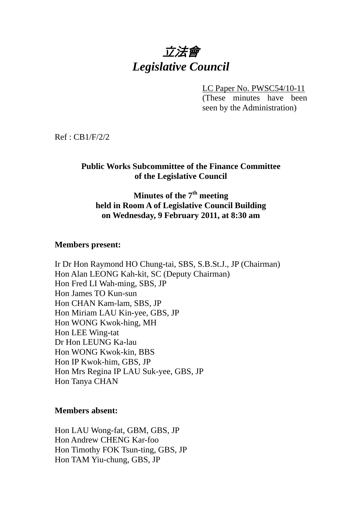# 立法會 *Legislative Council*

LC Paper No. PWSC54/10-11

(These minutes have been seen by the Administration)

Ref : CB1/F/2/2

### **Public Works Subcommittee of the Finance Committee of the Legislative Council**

#### **Minutes of the 7th meeting held in Room A of Legislative Council Building on Wednesday, 9 February 2011, at 8:30 am**

#### **Members present:**

Ir Dr Hon Raymond HO Chung-tai, SBS, S.B.St.J., JP (Chairman) Hon Alan LEONG Kah-kit, SC (Deputy Chairman) Hon Fred LI Wah-ming, SBS, JP Hon James TO Kun-sun Hon CHAN Kam-lam, SBS, JP Hon Miriam LAU Kin-yee, GBS, JP Hon WONG Kwok-hing, MH Hon LEE Wing-tat Dr Hon LEUNG Ka-lau Hon WONG Kwok-kin, BBS Hon IP Kwok-him, GBS, JP Hon Mrs Regina IP LAU Suk-yee, GBS, JP Hon Tanya CHAN

#### **Members absent:**

Hon LAU Wong-fat, GBM, GBS, JP Hon Andrew CHENG Kar-foo Hon Timothy FOK Tsun-ting, GBS, JP Hon TAM Yiu-chung, GBS, JP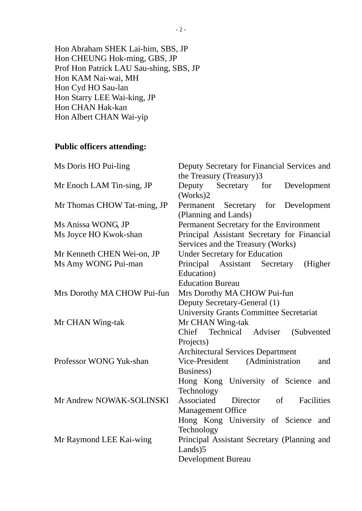Hon Abraham SHEK Lai-him, SBS, JP Hon CHEUNG Hok-ming, GBS, JP Prof Hon Patrick LAU Sau-shing, SBS, JP Hon KAM Nai-wai, MH Hon Cyd HO Sau-lan Hon Starry LEE Wai-king, JP Hon CHAN Hak-kan Hon Albert CHAN Wai-yip

# **Public officers attending:**

| Ms Doris HO Pui-ling        | Deputy Secretary for Financial Services and                                      |
|-----------------------------|----------------------------------------------------------------------------------|
|                             | the Treasury (Treasury)3                                                         |
| Mr Enoch LAM Tin-sing, JP   | Deputy Secretary for<br>Development<br>(Works)2                                  |
| Mr Thomas CHOW Tat-ming, JP | Permanent<br>Secretary for Development<br>(Planning and Lands)                   |
| Ms Anissa WONG, JP          | Permanent Secretary for the Environment                                          |
| Ms Joyce HO Kwok-shan       | Principal Assistant Secretary for Financial<br>Services and the Treasury (Works) |
| Mr Kenneth CHEN Wei-on, JP  | <b>Under Secretary for Education</b>                                             |
| Ms Amy WONG Pui-man         | Principal Assistant Secretary<br>(Higher)<br>Education)                          |
|                             | <b>Education Bureau</b>                                                          |
| Mrs Dorothy MA CHOW Pui-fun | Mrs Dorothy MA CHOW Pui-fun                                                      |
|                             | Deputy Secretary-General (1)                                                     |
|                             | <b>University Grants Committee Secretariat</b>                                   |
| Mr CHAN Wing-tak            | Mr CHAN Wing-tak                                                                 |
|                             | Chief Technical Adviser<br>(Subvented)                                           |
|                             | Projects)                                                                        |
|                             | <b>Architectural Services Department</b>                                         |
| Professor WONG Yuk-shan     | Vice-President (Administration<br>and                                            |
|                             | Business)                                                                        |
|                             | Hong Kong University of Science<br>and<br>Technology                             |
| Mr Andrew NOWAK-SOLINSKI    | Associated<br>Director<br>$\sigma$<br>Facilities                                 |
|                             | <b>Management Office</b>                                                         |
|                             | Hong Kong University of Science and                                              |
|                             | Technology                                                                       |
| Mr Raymond LEE Kai-wing     | Principal Assistant Secretary (Planning and<br>Lands)5                           |
|                             | <b>Development Bureau</b>                                                        |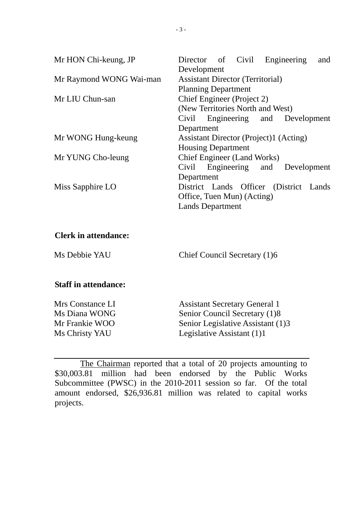| Mr HON Chi-keung, JP    | Director of Civil Engineering<br>and          |
|-------------------------|-----------------------------------------------|
|                         | Development                                   |
| Mr Raymond WONG Wai-man | <b>Assistant Director (Territorial)</b>       |
|                         | <b>Planning Department</b>                    |
| Mr LIU Chun-san         | Chief Engineer (Project 2)                    |
|                         | (New Territories North and West)              |
|                         | Engineering and Development<br>Civil          |
|                         | Department                                    |
| Mr WONG Hung-keung      | <b>Assistant Director (Project)1 (Acting)</b> |
|                         | <b>Housing Department</b>                     |
| Mr YUNG Cho-leung       | <b>Chief Engineer (Land Works)</b>            |
|                         | Engineering and Development<br>Civil          |
|                         | Department                                    |
| Miss Sapphire LO        | District Lands Officer (District Lands        |
|                         | Office, Tuen Mun) (Acting)                    |
|                         | <b>Lands Department</b>                       |

#### **Clerk in attendance:**

Ms Debbie YAU Chief Council Secretary (1)6

#### **Staff in attendance:**

Mrs Constance LI Assistant Secretary General 1 Ms Diana WONG Senior Council Secretary (1)8 Mr Frankie WOO Senior Legislative Assistant (1)3 Ms Christy YAU Legislative Assistant (1)1

 The Chairman reported that a total of 20 projects amounting to \$30,003.81 million had been endorsed by the Public Works Subcommittee (PWSC) in the 2010-2011 session so far. Of the total amount endorsed, \$26,936.81 million was related to capital works projects.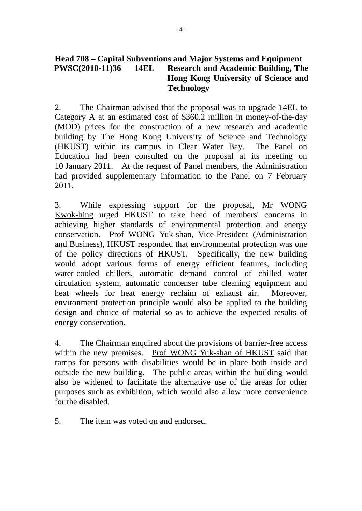#### **Head 708 – Capital Subventions and Major Systems and Equipment PWSC(2010-11)36 14EL Research and Academic Building, The Hong Kong University of Science and Technology**

2. The Chairman advised that the proposal was to upgrade 14EL to Category A at an estimated cost of \$360.2 million in money-of-the-day (MOD) prices for the construction of a new research and academic building by The Hong Kong University of Science and Technology (HKUST) within its campus in Clear Water Bay. The Panel on Education had been consulted on the proposal at its meeting on 10 January 2011. At the request of Panel members, the Administration had provided supplementary information to the Panel on 7 February 2011.

3. While expressing support for the proposal, Mr WONG Kwok-hing urged HKUST to take heed of members' concerns in achieving higher standards of environmental protection and energy conservation. Prof WONG Yuk-shan, Vice-President (Administration and Business), HKUST responded that environmental protection was one of the policy directions of HKUST. Specifically, the new building would adopt various forms of energy efficient features, including water-cooled chillers, automatic demand control of chilled water circulation system, automatic condenser tube cleaning equipment and heat wheels for heat energy reclaim of exhaust air. Moreover, environment protection principle would also be applied to the building design and choice of material so as to achieve the expected results of energy conservation.

4. The Chairman enquired about the provisions of barrier-free access within the new premises. Prof WONG Yuk-shan of HKUST said that ramps for persons with disabilities would be in place both inside and outside the new building. The public areas within the building would also be widened to facilitate the alternative use of the areas for other purposes such as exhibition, which would also allow more convenience for the disabled.

5. The item was voted on and endorsed.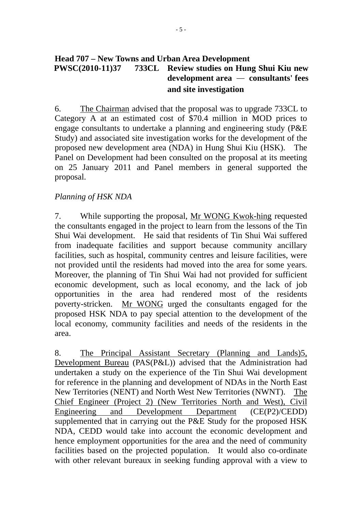#### **Head 707 – New Towns and Urban Area Development PWSC(2010-11)37 733CL Review studies on Hung Shui Kiu new development area** — **consultants' fees and site investigation**

6. The Chairman advised that the proposal was to upgrade 733CL to Category A at an estimated cost of \$70.4 million in MOD prices to engage consultants to undertake a planning and engineering study (P&E Study) and associated site investigation works for the development of the proposed new development area (NDA) in Hung Shui Kiu (HSK). The Panel on Development had been consulted on the proposal at its meeting on 25 January 2011 and Panel members in general supported the proposal.

#### *Planning of HSK NDA*

7. While supporting the proposal, Mr WONG Kwok-hing requested the consultants engaged in the project to learn from the lessons of the Tin Shui Wai development. He said that residents of Tin Shui Wai suffered from inadequate facilities and support because community ancillary facilities, such as hospital, community centres and leisure facilities, were not provided until the residents had moved into the area for some years. Moreover, the planning of Tin Shui Wai had not provided for sufficient economic development, such as local economy, and the lack of job opportunities in the area had rendered most of the residents poverty-stricken. Mr WONG urged the consultants engaged for the proposed HSK NDA to pay special attention to the development of the local economy, community facilities and needs of the residents in the area.

8. The Principal Assistant Secretary (Planning and Lands)5, Development Bureau (PAS(P&L)) advised that the Administration had undertaken a study on the experience of the Tin Shui Wai development for reference in the planning and development of NDAs in the North East New Territories (NENT) and North West New Territories (NWNT). The Chief Engineer (Project 2) (New Territories North and West), Civil Engineering and Development Department (CE(P2)/CEDD) supplemented that in carrying out the P&E Study for the proposed HSK NDA, CEDD would take into account the economic development and hence employment opportunities for the area and the need of community facilities based on the projected population. It would also co-ordinate with other relevant bureaux in seeking funding approval with a view to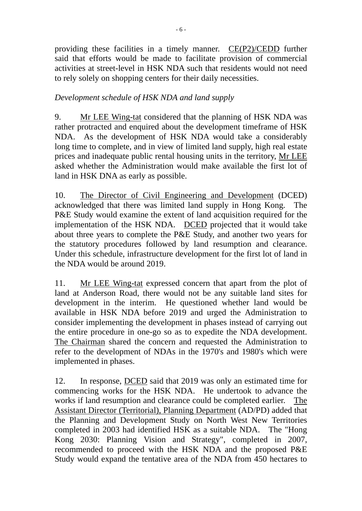providing these facilities in a timely manner. CE(P2)/CEDD further said that efforts would be made to facilitate provision of commercial activities at street-level in HSK NDA such that residents would not need to rely solely on shopping centers for their daily necessities.

#### *Development schedule of HSK NDA and land supply*

9. Mr LEE Wing-tat considered that the planning of HSK NDA was rather protracted and enquired about the development timeframe of HSK NDA. As the development of HSK NDA would take a considerably long time to complete, and in view of limited land supply, high real estate prices and inadequate public rental housing units in the territory, Mr LEE asked whether the Administration would make available the first lot of land in HSK DNA as early as possible.

10. The Director of Civil Engineering and Development (DCED) acknowledged that there was limited land supply in Hong Kong. The P&E Study would examine the extent of land acquisition required for the implementation of the HSK NDA. DCED projected that it would take about three years to complete the P&E Study, and another two years for the statutory procedures followed by land resumption and clearance. Under this schedule, infrastructure development for the first lot of land in the NDA would be around 2019.

11. Mr LEE Wing-tat expressed concern that apart from the plot of land at Anderson Road, there would not be any suitable land sites for development in the interim. He questioned whether land would be available in HSK NDA before 2019 and urged the Administration to consider implementing the development in phases instead of carrying out the entire procedure in one-go so as to expedite the NDA development. The Chairman shared the concern and requested the Administration to refer to the development of NDAs in the 1970's and 1980's which were implemented in phases.

12. In response, DCED said that 2019 was only an estimated time for commencing works for the HSK NDA. He undertook to advance the works if land resumption and clearance could be completed earlier. The Assistant Director (Territorial), Planning Department (AD/PD) added that the Planning and Development Study on North West New Territories completed in 2003 had identified HSK as a suitable NDA. The "Hong Kong 2030: Planning Vision and Strategy", completed in 2007, recommended to proceed with the HSK NDA and the proposed P&E Study would expand the tentative area of the NDA from 450 hectares to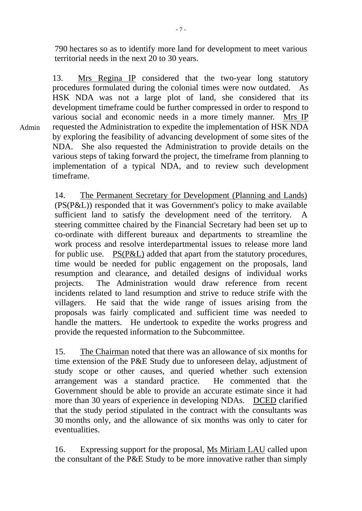790 hectares so as to identify more land for development to meet various territorial needs in the next 20 to 30 years.

13. Mrs Regina IP considered that the two-year long statutory procedures formulated during the colonial times were now outdated. As HSK NDA was not a large plot of land, she considered that its development timeframe could be further compressed in order to respond to various social and economic needs in a more timely manner. Mrs IP requested the Administration to expedite the implementation of HSK NDA by exploring the feasibility of advancing development of some sites of the NDA. She also requested the Administration to provide details on the various steps of taking forward the project, the timeframe from planning to implementation of a typical NDA, and to review such development timeframe.

Admin

14. The Permanent Secretary for Development (Planning and Lands) (PS(P&L)) responded that it was Government's policy to make available sufficient land to satisfy the development need of the territory. A steering committee chaired by the Financial Secretary had been set up to co-ordinate with different bureaux and departments to streamline the work process and resolve interdepartmental issues to release more land for public use. PS(P&L) added that apart from the statutory procedures, time would be needed for public engagement on the proposals, land resumption and clearance, and detailed designs of individual works projects. The Administration would draw reference from recent incidents related to land resumption and strive to reduce strife with the villagers. He said that the wide range of issues arising from the proposals was fairly complicated and sufficient time was needed to handle the matters. He undertook to expedite the works progress and provide the requested information to the Subcommittee.

15. The Chairman noted that there was an allowance of six months for time extension of the P&E Study due to unforeseen delay, adjustment of study scope or other causes, and queried whether such extension arrangement was a standard practice. He commented that the Government should be able to provide an accurate estimate since it had more than 30 years of experience in developing NDAs. DCED clarified that the study period stipulated in the contract with the consultants was 30 months only, and the allowance of six months was only to cater for eventualities.

16. Expressing support for the proposal, Ms Miriam LAU called upon the consultant of the P&E Study to be more innovative rather than simply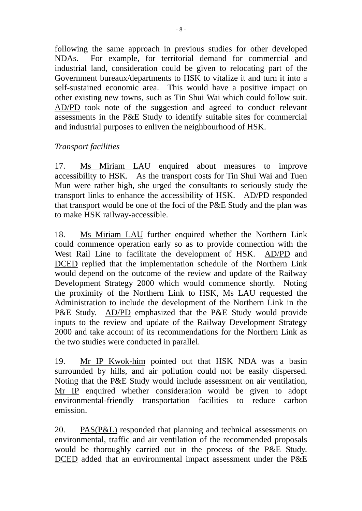following the same approach in previous studies for other developed NDAs. For example, for territorial demand for commercial and industrial land, consideration could be given to relocating part of the Government bureaux/departments to HSK to vitalize it and turn it into a self-sustained economic area. This would have a positive impact on other existing new towns, such as Tin Shui Wai which could follow suit. AD/PD took note of the suggestion and agreed to conduct relevant assessments in the P&E Study to identify suitable sites for commercial and industrial purposes to enliven the neighbourhood of HSK.

#### *Transport facilities*

17. Ms Miriam LAU enquired about measures to improve accessibility to HSK. As the transport costs for Tin Shui Wai and Tuen Mun were rather high, she urged the consultants to seriously study the transport links to enhance the accessibility of HSK. AD/PD responded that transport would be one of the foci of the P&E Study and the plan was to make HSK railway-accessible.

18. Ms Miriam LAU further enquired whether the Northern Link could commence operation early so as to provide connection with the West Rail Line to facilitate the development of HSK. AD/PD and DCED replied that the implementation schedule of the Northern Link would depend on the outcome of the review and update of the Railway Development Strategy 2000 which would commence shortly. Noting the proximity of the Northern Link to HSK, Ms LAU requested the Administration to include the development of the Northern Link in the P&E Study. AD/PD emphasized that the P&E Study would provide inputs to the review and update of the Railway Development Strategy 2000 and take account of its recommendations for the Northern Link as the two studies were conducted in parallel.

19. Mr IP Kwok-him pointed out that HSK NDA was a basin surrounded by hills, and air pollution could not be easily dispersed. Noting that the P&E Study would include assessment on air ventilation, Mr IP enquired whether consideration would be given to adopt environmental-friendly transportation facilities to reduce carbon emission.

20. PAS(P&L) responded that planning and technical assessments on environmental, traffic and air ventilation of the recommended proposals would be thoroughly carried out in the process of the P&E Study. DCED added that an environmental impact assessment under the P&E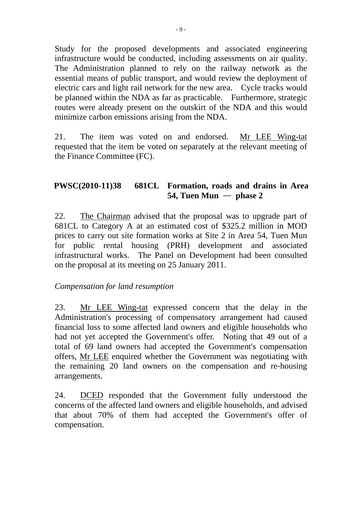Study for the proposed developments and associated engineering infrastructure would be conducted, including assessments on air quality. The Administration planned to rely on the railway network as the essential means of public transport, and would review the deployment of electric cars and light rail network for the new area. Cycle tracks would be planned within the NDA as far as practicable. Furthermore, strategic routes were already present on the outskirt of the NDA and this would minimize carbon emissions arising from the NDA.

21. The item was voted on and endorsed. Mr LEE Wing-tat requested that the item be voted on separately at the relevant meeting of the Finance Committee (FC).

### **PWSC(2010-11)38 681CL Formation, roads and drains in Area 54, Tuen Mun** — **phase 2**

22. The Chairman advised that the proposal was to upgrade part of 681CL to Category A at an estimated cost of \$325.2 million in MOD prices to carry out site formation works at Site 2 in Area 54, Tuen Mun for public rental housing (PRH) development and associated infrastructural works. The Panel on Development had been consulted on the proposal at its meeting on 25 January 2011.

#### *Compensation for land resumption*

23. Mr LEE Wing-tat expressed concern that the delay in the Administration's processing of compensatory arrangement had caused financial loss to some affected land owners and eligible households who had not yet accepted the Government's offer. Noting that 49 out of a total of 69 land owners had accepted the Government's compensation offers, Mr LEE enquired whether the Government was negotiating with the remaining 20 land owners on the compensation and re-housing arrangements.

24. DCED responded that the Government fully understood the concerns of the affected land owners and eligible households, and advised that about 70% of them had accepted the Government's offer of compensation.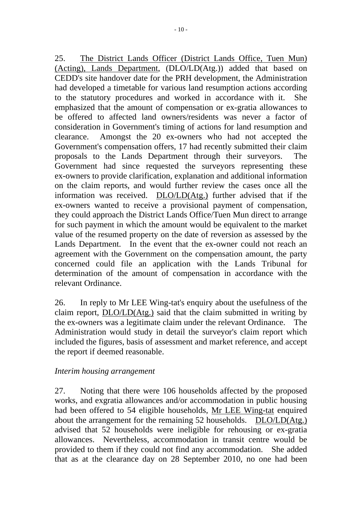25. The District Lands Officer (District Lands Office, Tuen Mun) (Acting), Lands Department, (DLO/LD(Atg.)) added that based on CEDD's site handover date for the PRH development, the Administration had developed a timetable for various land resumption actions according to the statutory procedures and worked in accordance with it. She emphasized that the amount of compensation or ex-gratia allowances to be offered to affected land owners/residents was never a factor of consideration in Government's timing of actions for land resumption and clearance. Amongst the 20 ex-owners who had not accepted the Government's compensation offers, 17 had recently submitted their claim proposals to the Lands Department through their surveyors. The Government had since requested the surveyors representing these ex-owners to provide clarification, explanation and additional information on the claim reports, and would further review the cases once all the information was received. DLO/LD(Atg.) further advised that if the ex-owners wanted to receive a provisional payment of compensation, they could approach the District Lands Office/Tuen Mun direct to arrange for such payment in which the amount would be equivalent to the market value of the resumed property on the date of reversion as assessed by the Lands Department. In the event that the ex-owner could not reach an agreement with the Government on the compensation amount, the party concerned could file an application with the Lands Tribunal for determination of the amount of compensation in accordance with the relevant Ordinance.

26. In reply to Mr LEE Wing-tat's enquiry about the usefulness of the claim report, DLO/LD(Atg.) said that the claim submitted in writing by the ex-owners was a legitimate claim under the relevant Ordinance. The Administration would study in detail the surveyor's claim report which included the figures, basis of assessment and market reference, and accept the report if deemed reasonable.

#### *Interim housing arrangement*

27. Noting that there were 106 households affected by the proposed works, and exgratia allowances and/or accommodation in public housing had been offered to 54 eligible households, Mr LEE Wing-tat enquired about the arrangement for the remaining 52 households. DLO/LD(Atg.) advised that 52 households were ineligible for rehousing or ex-gratia allowances. Nevertheless, accommodation in transit centre would be provided to them if they could not find any accommodation. She added that as at the clearance day on 28 September 2010, no one had been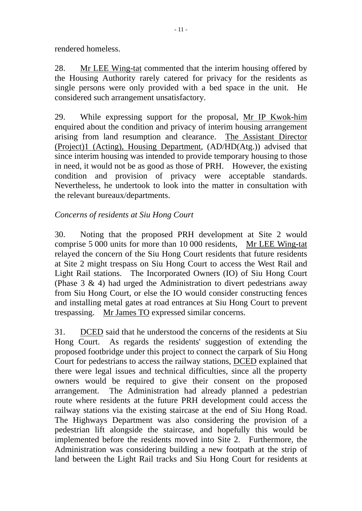rendered homeless.

28. Mr LEE Wing-tat commented that the interim housing offered by the Housing Authority rarely catered for privacy for the residents as single persons were only provided with a bed space in the unit. He considered such arrangement unsatisfactory.

29. While expressing support for the proposal, Mr IP Kwok-him enquired about the condition and privacy of interim housing arrangement arising from land resumption and clearance. The Assistant Director (Project)1 (Acting), Housing Department, (AD/HD(Atg.)) advised that since interim housing was intended to provide temporary housing to those in need, it would not be as good as those of PRH. However, the existing condition and provision of privacy were acceptable standards. Nevertheless, he undertook to look into the matter in consultation with the relevant bureaux/departments.

## *Concerns of residents at Siu Hong Court*

30. Noting that the proposed PRH development at Site 2 would comprise 5 000 units for more than 10 000 residents, Mr LEE Wing-tat relayed the concern of the Siu Hong Court residents that future residents at Site 2 might trespass on Siu Hong Court to access the West Rail and Light Rail stations. The Incorporated Owners (IO) of Siu Hong Court (Phase 3 & 4) had urged the Administration to divert pedestrians away from Siu Hong Court, or else the IO would consider constructing fences and installing metal gates at road entrances at Siu Hong Court to prevent trespassing. Mr James TO expressed similar concerns.

31. DCED said that he understood the concerns of the residents at Siu Hong Court. As regards the residents' suggestion of extending the proposed footbridge under this project to connect the carpark of Siu Hong Court for pedestrians to access the railway stations, DCED explained that there were legal issues and technical difficulties, since all the property owners would be required to give their consent on the proposed arrangement. The Administration had already planned a pedestrian route where residents at the future PRH development could access the railway stations via the existing staircase at the end of Siu Hong Road. The Highways Department was also considering the provision of a pedestrian lift alongside the staircase, and hopefully this would be implemented before the residents moved into Site 2. Furthermore, the Administration was considering building a new footpath at the strip of land between the Light Rail tracks and Siu Hong Court for residents at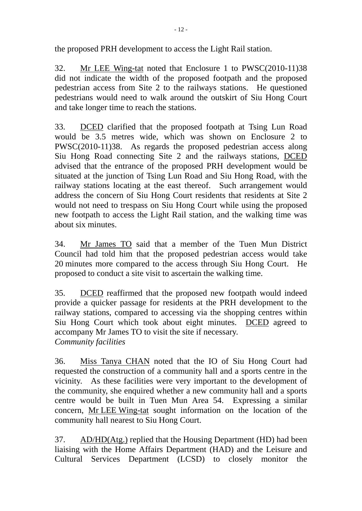the proposed PRH development to access the Light Rail station.

32. Mr LEE Wing-tat noted that Enclosure 1 to PWSC(2010-11)38 did not indicate the width of the proposed footpath and the proposed pedestrian access from Site 2 to the railways stations. He questioned pedestrians would need to walk around the outskirt of Siu Hong Court and take longer time to reach the stations.

33. DCED clarified that the proposed footpath at Tsing Lun Road would be 3.5 metres wide, which was shown on Enclosure 2 to PWSC(2010-11)38. As regards the proposed pedestrian access along Siu Hong Road connecting Site 2 and the railways stations, DCED advised that the entrance of the proposed PRH development would be situated at the junction of Tsing Lun Road and Siu Hong Road, with the railway stations locating at the east thereof. Such arrangement would address the concern of Siu Hong Court residents that residents at Site 2 would not need to trespass on Siu Hong Court while using the proposed new footpath to access the Light Rail station, and the walking time was about six minutes.

34. Mr James TO said that a member of the Tuen Mun District Council had told him that the proposed pedestrian access would take 20 minutes more compared to the access through Siu Hong Court. He proposed to conduct a site visit to ascertain the walking time.

35. DCED reaffirmed that the proposed new footpath would indeed provide a quicker passage for residents at the PRH development to the railway stations, compared to accessing via the shopping centres within Siu Hong Court which took about eight minutes. DCED agreed to accompany Mr James TO to visit the site if necessary. *Community facilities* 

36. Miss Tanya CHAN noted that the IO of Siu Hong Court had requested the construction of a community hall and a sports centre in the vicinity. As these facilities were very important to the development of the community, she enquired whether a new community hall and a sports centre would be built in Tuen Mun Area 54. Expressing a similar concern, Mr LEE Wing-tat sought information on the location of the community hall nearest to Siu Hong Court.

37. AD/HD(Atg.) replied that the Housing Department (HD) had been liaising with the Home Affairs Department (HAD) and the Leisure and Cultural Services Department (LCSD) to closely monitor the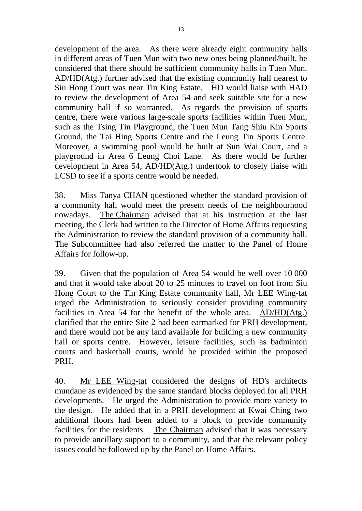development of the area. As there were already eight community halls in different areas of Tuen Mun with two new ones being planned/built, he considered that there should be sufficient community halls in Tuen Mun. AD/HD(Atg.) further advised that the existing community hall nearest to Siu Hong Court was near Tin King Estate. HD would liaise with HAD to review the development of Area 54 and seek suitable site for a new community hall if so warranted. As regards the provision of sports centre, there were various large-scale sports facilities within Tuen Mun, such as the Tsing Tin Playground, the Tuen Mun Tang Shiu Kin Sports Ground, the Tai Hing Sports Centre and the Leung Tin Sports Centre. Moreover, a swimming pool would be built at Sun Wai Court, and a playground in Area 6 Leung Choi Lane. As there would be further development in Area 54, AD/HD(Atg.) undertook to closely liaise with LCSD to see if a sports centre would be needed.

38. Miss Tanya CHAN questioned whether the standard provision of a community hall would meet the present needs of the neighbourhood nowadays. The Chairman advised that at his instruction at the last meeting, the Clerk had written to the Director of Home Affairs requesting the Administration to review the standard provision of a community hall. The Subcommittee had also referred the matter to the Panel of Home Affairs for follow-up.

39. Given that the population of Area 54 would be well over 10 000 and that it would take about 20 to 25 minutes to travel on foot from Siu Hong Court to the Tin King Estate community hall, Mr LEE Wing-tat urged the Administration to seriously consider providing community facilities in Area 54 for the benefit of the whole area. AD/HD(Atg.) clarified that the entire Site 2 had been earmarked for PRH development, and there would not be any land available for building a new community hall or sports centre. However, leisure facilities, such as badminton courts and basketball courts, would be provided within the proposed PRH.

40. Mr LEE Wing-tat considered the designs of HD's architects mundane as evidenced by the same standard blocks deployed for all PRH developments. He urged the Administration to provide more variety to the design. He added that in a PRH development at Kwai Ching two additional floors had been added to a block to provide community facilities for the residents. The Chairman advised that it was necessary to provide ancillary support to a community, and that the relevant policy issues could be followed up by the Panel on Home Affairs.